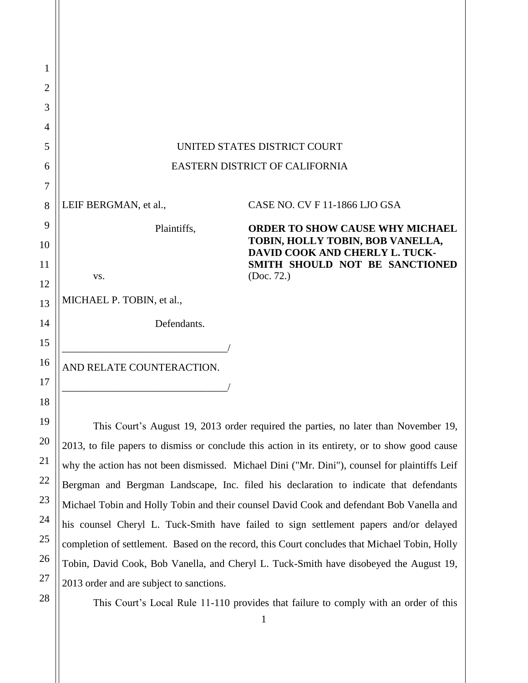| 1              |                                |                                                                    |
|----------------|--------------------------------|--------------------------------------------------------------------|
| $\overline{2}$ |                                |                                                                    |
| 3              |                                |                                                                    |
| $\overline{4}$ |                                |                                                                    |
| 5              | UNITED STATES DISTRICT COURT   |                                                                    |
| 6              | EASTERN DISTRICT OF CALIFORNIA |                                                                    |
| 7              |                                |                                                                    |
| 8              | LEIF BERGMAN, et al.,          | CASE NO. CV F 11-1866 LJO GSA                                      |
| 9              | Plaintiffs,                    | <b>ORDER TO SHOW CAUSE WHY MICHAEL</b>                             |
| 10             |                                | TOBIN, HOLLY TOBIN, BOB VANELLA,<br>DAVID COOK AND CHERLY L. TUCK- |
| 11             |                                | SMITH SHOULD NOT BE SANCTIONED                                     |
| 12             | VS.                            | (Doc. 72.)                                                         |
| 13             | MICHAEL P. TOBIN, et al.,      |                                                                    |
| 14             | Defendants.                    |                                                                    |
| 15             |                                |                                                                    |
| 16             | AND RELATE COUNTERACTION.      |                                                                    |
| 17             |                                |                                                                    |
| 18             |                                |                                                                    |

This Court's August 19, 2013 order required the parties, no later than November 19, 2013, to file papers to dismiss or conclude this action in its entirety, or to show good cause why the action has not been dismissed. Michael Dini ("Mr. Dini"), counsel for plaintiffs Leif Bergman and Bergman Landscape, Inc. filed his declaration to indicate that defendants Michael Tobin and Holly Tobin and their counsel David Cook and defendant Bob Vanella and his counsel Cheryl L. Tuck-Smith have failed to sign settlement papers and/or delayed completion of settlement. Based on the record, this Court concludes that Michael Tobin, Holly Tobin, David Cook, Bob Vanella, and Cheryl L. Tuck-Smith have disobeyed the August 19, 2013 order and are subject to sanctions.

19

20

21

22

23

24

25

26

27

28

This Court's Local Rule 11-110 provides that failure to comply with an order of this